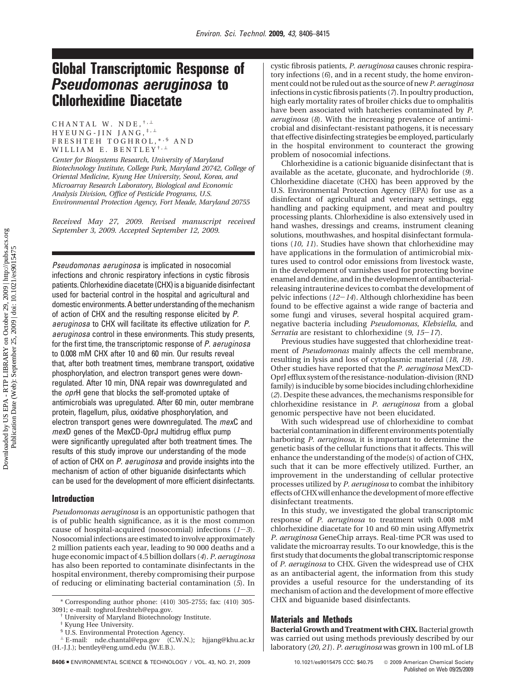# **Global Transcriptomic Response of** *Pseudomonas aeruginosa* **to Chlorhexidine Diacetate**

CHANTAL W. NDE,  $^{\dagger,\perp}$  $HYEUNG-JIN JANG,$ <sup>‡,⊥</sup> FRESHTEH TOGHROL, \*, \$ AND WILLIAM E. BENTLEY<sup>†,⊥</sup>

*Center for Biosystems Research, University of Maryland Biotechnology Institute, College Park, Maryland 20742, College of Oriental Medicine, Kyung Hee University, Seoul, Korea, and Microarray Research Laboratory, Biological and Economic Analysis Division, Office of Pesticide Programs, U.S. Environmental Protection Agency, Fort Meade, Maryland 20755*

*Received May 27, 2009. Revised manuscript received September 3, 2009. Accepted September 12, 2009.*

*Pseudomonas aeruginosa* is implicated in nosocomial infections and chronic respiratory infections in cystic fibrosis patients. Chlorhexidine diacetate(CHX) is a biguanide disinfectant used for bacterial control in the hospital and agricultural and domestic environments. A better understanding of the mechanism of action of CHX and the resulting response elicited by *P. aeruginosa* to CHX will facilitate its effective utilization for *P. aeruginosa* control in these environments. This study presents, for the first time, the transcriptomic response of *P. aeruginosa* to 0.008 mM CHX after 10 and 60 min. Our results reveal that, after both treatment times, membrane transport, oxidative phosphorylation, and electron transport genes were downregulated. After 10 min, DNA repair was downregulated and the *opr*H gene that blocks the self-promoted uptake of antimicrobials was upregulated. After 60 min, outer membrane protein, flagellum, pilus, oxidative phosphorylation, and electron transport genes were downregulated. The *mex*C and *mex*D genes of the MexCD-OprJ multidrug efflux pump were significantly upregulated after both treatment times. The results of this study improve our understanding of the mode of action of CHX on *P. aeruginosa* and provide insights into the mechanism of action of other biguanide disinfectants which can be used for the development of more efficient disinfectants.

## **Introduction**

*Pseudomonas aeruginosa* is an opportunistic pathogen that is of public health significance, as it is the most common cause of hospital-acquired (nosocomial) infections (*1*-*3*). Nosocomial infections are estimated to involve approximately 2 million patients each year, leading to 90 000 deaths and a huge economic impact of 4.5 billion dollars (*4*). *P. aeruginosa* has also been reported to contaminate disinfectants in the hospital environment, thereby compromising their purpose of reducing or eliminating bacterial contamination (*5*). In

tory infections (*6*), and in a recent study, the home environment could not be ruled out as the source of new*P. aeruginosa* infections in cystic fibrosis patients (*7*). In poultry production, high early mortality rates of broiler chicks due to omphalitis have been associated with hatcheries contaminated by *P. aeruginosa* (*8*). With the increasing prevalence of antimicrobial and disinfectant-resistant pathogens, it is necessary that effective disinfecting strategies be employed, particularly in the hospital environment to counteract the growing problem of nosocomial infections.

cystic fibrosis patients, *P. aeruginosa* causes chronic respira-

Chlorhexidine is a cationic biguanide disinfectant that is available as the acetate, gluconate, and hydrochloride (*9*). Chlorhexidine diacetate (CHX) has been approved by the U.S. Environmental Protection Agency (EPA) for use as a disinfectant of agricultural and veterinary settings, egg handling and packing equipment, and meat and poultry processing plants. Chlorhexidine is also extensively used in hand washes, dressings and creams, instrument cleaning solutions, mouthwashes, and hospital disinfectant formulations (*10, 11*). Studies have shown that chlorhexidine may have applications in the formulation of antimicrobial mixtures used to control odor emissions from livestock waste, in the development of varnishes used for protecting bovine enamel and dentine, and in the development of antibacterialreleasing intrauterine devices to combat the development of pelvic infections (*12*-*14*). Although chlorhexidine has been found to be effective against a wide range of bacteria and some fungi and viruses, several hospital acquired gramnegative bacteria including *Pseudomonas*, *Klebsiella*, and *Serratia* are resistant to chlorhexidine (*9, 15*-*17*).

Previous studies have suggested that chlorhexidine treatment of *Pseudomonas* mainly affects the cell membrane, resulting in lysis and loss of cytoplasmic material (*18, 19*). Other studies have reported that the *P. aeruginosa* MexCD-OprJ efflux system of the resistance-nodulation-division (RND family) is inducible by some biocides including chlorhexidine (*2*). Despite these advances, the mechanisms responsible for chlorhexidine resistance in *P. aeruginosa* from a global genomic perspective have not been elucidated.

With such widespread use of chlorhexidine to combat bacterial contamination in different environments potentially harboring *P. aeruginosa*, it is important to determine the genetic basis of the cellular functions that it affects. This will enhance the understanding of the mode(s) of action of CHX, such that it can be more effectively utilized. Further, an improvement in the understanding of cellular protective processes utilized by *P. aeruginosa* to combat the inhibitory effects of CHX will enhance the development of more effective disinfectant treatments.

In this study, we investigated the global transcriptomic response of *P. aeruginosa* to treatment with 0.008 mM chlorhexidine diacetate for 10 and 60 min using Affymetrix *P. aeruginosa* GeneChip arrays. Real-time PCR was used to validate the microarray results. To our knowledge, this is the first study that documents the global transcriptomic response of *P. aeruginosa* to CHX. Given the widespread use of CHX as an antibacterial agent, the information from this study provides a useful resource for the understanding of its mechanism of action and the development of more effective CHX and biguanide based disinfectants.

## **Materials and Methods**

**Bacterial Growth and Treatment with CHX.**Bacterial growth was carried out using methods previously described by our laboratory (*20, 21*). *P. aeruginosa* was grown in 100 mL of LB

<sup>\*</sup> Corresponding author phone: (410) 305-2755; fax: (410) 305- 3091; e-mail: toghrol.freshteh@epa.gov. † University of Maryland Biotechnology Institute.

<sup>‡</sup> Kyung Hee University.

<sup>&</sup>lt;sup>§</sup> U.S. Environmental Protection Agency.

<sup>⊥</sup> E-mail: nde.chantal@epa.gov (C.W.N.); hjjang@khu.ac.kr (H.-J.J.); bentley@eng.umd.edu (W.E.B.).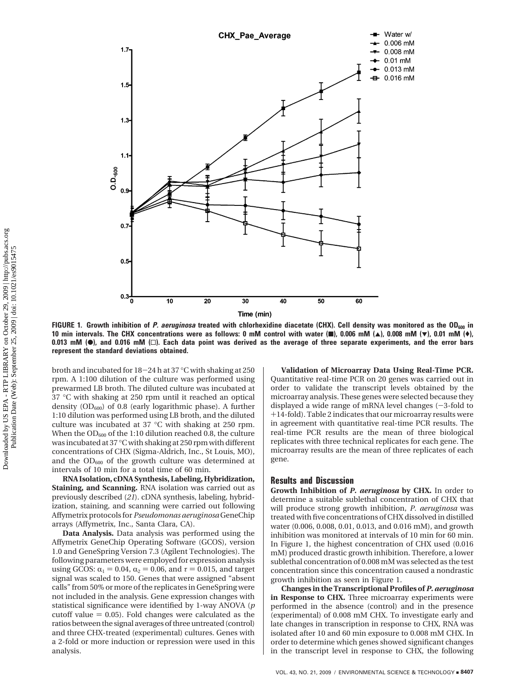

**FIGURE 1. Growth inhibition of** *P. aeruginosa* **treated with chlorhexidine diacetate (CHX). Cell density was monitored as the OD<sub>600</sub> in 10 min intervals. The CHX concentrations were as follows: 0 mM control with water (**9**), 0.006 mM (**2**), 0.008 mM (**1**), 0.01 mM (**(**), 0.013 mM (**b**), and 0.016 mM (**0**). Each data point was derived as the average of three separate experiments, and the error bars represent the standard deviations obtained.**

broth and incubated for 18-24 h at 37 °C with shaking at 250 rpm. A 1:100 dilution of the culture was performed using prewarmed LB broth. The diluted culture was incubated at 37 °C with shaking at 250 rpm until it reached an optical density  $OD_{600}$ ) of 0.8 (early logarithmic phase). A further 1:10 dilution was performed using LB broth, and the diluted culture was incubated at 37 °C with shaking at 250 rpm. When the  $OD_{600}$  of the 1:10 dilution reached 0.8, the culture was incubated at 37 °C with shaking at 250 rpm with different concentrations of CHX (Sigma-Aldrich, Inc., St Louis, MO), and the  $OD_{600}$  of the growth culture was determined at intervals of 10 min for a total time of 60 min.

**RNA Isolation, cDNA Synthesis, Labeling, Hybridization, Staining, and Scanning.** RNA isolation was carried out as previously described (*21*). cDNA synthesis, labeling, hybridization, staining, and scanning were carried out following Affymetrix protocols for *Pseudomonas aeruginosa* GeneChip arrays (Affymetrix, Inc., Santa Clara, CA).

**Data Analysis.** Data analysis was performed using the Affymetrix GeneChip Operating Software (GCOS), version 1.0 and GeneSpring Version 7.3 (Agilent Technologies). The following parameters were employed for expression analysis using GCOS:  $\alpha_1$  = 0.04,  $\alpha_2$  = 0.06, and  $\tau$  = 0.015, and target signal was scaled to 150. Genes that were assigned "absent calls" from 50% or more of the replicates in GeneSpring were not included in the analysis. Gene expression changes with statistical significance were identified by 1-way ANOVA (*p* cutoff value  $= 0.05$ ). Fold changes were calculated as the ratios between the signal averages of three untreated (control) and three CHX-treated (experimental) cultures. Genes with a 2-fold or more induction or repression were used in this analysis.

**Validation of Microarray Data Using Real-Time PCR.** Quantitative real-time PCR on 20 genes was carried out in order to validate the transcript levels obtained by the microarray analysis. These genes were selected because they displayed a wide range of mRNA level changes  $(-3\times 5)$  to +14-fold). Table 2 indicates that our microarray results were in agreement with quantitative real-time PCR results. The real-time PCR results are the mean of three biological replicates with three technical replicates for each gene. The microarray results are the mean of three replicates of each gene.

### **Results and Discussion**

**Growth Inhibition of** *P. aeruginosa* **by CHX.** In order to determine a suitable sublethal concentration of CHX that will produce strong growth inhibition, *P. aeruginosa* was treated with five concentrations of CHX dissolved in distilled water (0.006, 0.008, 0.01, 0.013, and 0.016 mM), and growth inhibition was monitored at intervals of 10 min for 60 min. In Figure 1, the highest concentration of CHX used (0.016 mM) produced drastic growth inhibition. Therefore, a lower sublethal concentration of 0.008 mM was selected as the test concentration since this concentration caused a nondrastic growth inhibition as seen in Figure 1.

**Changes in the Transcriptional Profiles of***P. aeruginosa* **in Response to CHX.** Three microarray experiments were performed in the absence (control) and in the presence (experimental) of 0.008 mM CHX. To investigate early and late changes in transcription in response to CHX, RNA was isolated after 10 and 60 min exposure to 0.008 mM CHX. In order to determine which genes showed significant changes in the transcript level in response to CHX, the following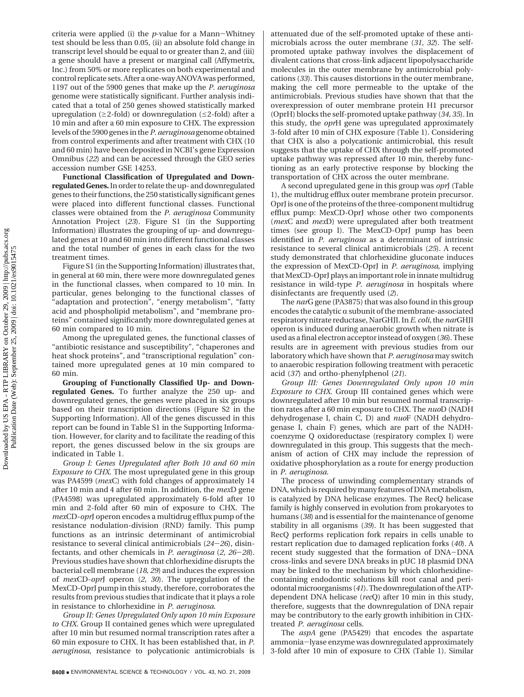criteria were applied (i) the *<sup>p</sup>*-value for a Mann-Whitney test should be less than 0.05, (ii) an absolute fold change in transcript level should be equal to or greater than 2, and (iii) a gene should have a present or marginal call (Affymetrix, Inc.) from 50% or more replicates on both experimental and control replicate sets. After a one-way ANOVA was performed, 1197 out of the 5900 genes that make up the *P. aeruginosa* genome were statistically significant. Further analysis indicated that a total of 250 genes showed statistically marked upregulation ( $\geq$ 2-fold) or downregulation ( $\leq$ 2-fold) after a 10 min and after a 60 min exposure to CHX. The expression levels of the 5900 genes in the *P. aeruginosa* genome obtained from control experiments and after treatment with CHX (10 and 60 min) have been deposited in NCBI's gene Expression Omnibus (*22*) and can be accessed through the GEO series accession number GSE 14253.

**Functional Classification of Upregulated and Downregulated Genes.**In order to relate the up- and downregulated genes to their functions, the 250 statistically significant genes were placed into different functional classes. Functional classes were obtained from the *P. aeruginosa* Community Annotation Project (*23*). Figure S1 (in the Supporting Information) illustrates the grouping of up- and downregulated genes at 10 and 60 min into different functional classes and the total number of genes in each class for the two treatment times.

Figure S1 (in the Supporting Information) illustrates that, in general at 60 min, there were more downregulated genes in the functional classes, when compared to 10 min. In particular, genes belonging to the functional classes of "adaptation and protection", "energy metabolism", "fatty acid and phospholipid metabolism", and "membrane proteins" contained significantly more downregulated genes at 60 min compared to 10 min.

Among the upregulated genes, the functional classes of "antibiotic resistance and susceptibility", "chaperones and heat shock proteins", and "transcriptional regulation" contained more upregulated genes at 10 min compared to 60 min.

**Grouping of Functionally Classified Up- and Downregulated Genes.** To further analyze the 250 up- and downregulated genes, the genes were placed in six groups based on their transcription directions (Figure S2 in the Supporting Information). All of the genes discussed in this report can be found in Table S1 in the Supporting Information. However, for clarity and to facilitate the reading of this report, the genes discussed below in the six groups are indicated in Table 1.

*Group I: Genes Upregulated after Both 10 and 60 min Exposure to CHX.* The most upregulated gene in this group was PA4599 (*mex*C) with fold changes of approximately 14 after 10 min and 4 after 60 min. In addition, the *mex*D gene (PA4598) was upregulated approximately 6-fold after 10 min and 2-fold after 60 min of exposure to CHX. The *mex*CD-*opr*J operon encodes a multidrug efflux pump of the resistance nodulation-division (RND) family. This pump functions as an intrinsic determinant of antimicrobial resistance to several clinical antimicrobials (*24*-*26*), disinfectants, and other chemicals in *P. aeruginosa* (*2, 26*-*28*). Previous studies have shown that chlorhexidine disrupts the bacterial cell membrane (*18, 29*) and induces the expression of *mex*CD-*opr*J operon (*2, 30*). The upregulation of the MexCD-OprJ pump in this study, therefore, corroborates the results from previous studies that indicate that it plays a role in resistance to chlorhexidine in *P. aeruginosa*.

*Group II: Genes Upregulated Only upon 10 min Exposure to CHX.* Group II contained genes which were upregulated after 10 min but resumed normal transcription rates after a 60 min exposure to CHX. It has been established that, in *P. aeruginosa*, resistance to polycationic antimicrobials is attenuated due of the self-promoted uptake of these antimicrobials across the outer membrane (*31, 32*). The selfpromoted uptake pathway involves the displacement of divalent cations that cross-link adjacent lipopolysaccharide molecules in the outer membrane by antimicrobial polycations (*33*). This causes distortions in the outer membrane, making the cell more permeable to the uptake of the antimicrobials. Previous studies have shown that that the overexpression of outer membrane protein H1 precursor (OprH) blocks the self-promoted uptake pathway (*34, 35*). In this study, the *opr*H gene was upregulated approximately 3-fold after 10 min of CHX exposure (Table 1). Considering that CHX is also a polycationic antimicrobial, this result suggests that the uptake of CHX through the self-promoted uptake pathway was repressed after 10 min, thereby functioning as an early protective response by blocking the transportation of CHX across the outer membrane.

A second upregulated gene in this group was *opr*J (Table 1), the multidrug efflux outer membrane protein precursor. OprJ is one of the proteins of the three-component multidrug efflux pump: MexCD-OprJ whose other two components (*mex*C and *mex*D) were upregulated after both treatment times (see group I). The MexCD-OprJ pump has been identified in *P. aeruginosa* as a determinant of intrinsic resistance to several clinical antimicrobials (*25*). A recent study demonstrated that chlorhexidine gluconate induces the expression of MexCD-OprJ in *P. aeruginosa*, implying that MexCD-OprJ plays an important role in innate multidrug resistance in wild-type *P. aeruginosa* in hospitals where disinfectants are frequently used (*2*).

The *nar*G gene (PA3875) that was also found in this group encodes the catalytic  $\alpha$  subunit of the membrane-associated respiratory nitrate reductase, NarGHJI. In*E. coli*, the *nar*GHJI operon is induced during anaerobic growth when nitrate is used as a final electron acceptor instead of oxygen (*36*). These results are in agreement with previous studies from our laboratory which have shown that *P. aeruginosa* may switch to anaerobic respiration following treatment with peracetic acid (*37*) and ortho-phenylphenol (*21*).

*Group III: Genes Downregulated Only upon 10 min Exposure to CHX.* Group III contained genes which were downregulated after 10 min but resumed normal transcription rates after a 60 min exposure to CHX. The *nuo*D (NADH dehydrogenase I, chain C, D) and *nuo*F (NADH dehydrogenase I, chain F) genes, which are part of the NADHcoenzyme Q oxidoreductase (respiratory complex I) were downregulated in this group. This suggests that the mechanism of action of CHX may include the repression of oxidative phosphorylation as a route for energy production in *P. aeruginosa*.

The process of unwinding complementary strands of DNA, which is required by many features of DNA metabolism, is catalyzed by DNA helicase enzymes. The RecQ helicase family is highly conserved in evolution from prokaryotes to humans (*38*) and is essential for the maintenance of genome stability in all organisms (*39*). It has been suggested that RecQ performs replication fork repairs in cells unable to restart replication due to damaged replication forks (*40*). A recent study suggested that the formation of DNA-DNA cross-links and severe DNA breaks in pUC 18 plasmid DNA may be linked to the mechanism by which chlorhexidinecontaining endodontic solutions kill root canal and periodontal microorganisms (*41*). The downregulation of the ATPdependent DNA helicase (*rec*Q) after 10 min in this study, therefore, suggests that the downregulation of DNA repair may be contributory to the early growth inhibition in CHXtreated *P. aeruginosa* cells.

The *aspA* gene (PA5429) that encodes the aspartate ammonia-lyase enzyme was downregulated approximately 3-fold after 10 min of exposure to CHX (Table 1). Similar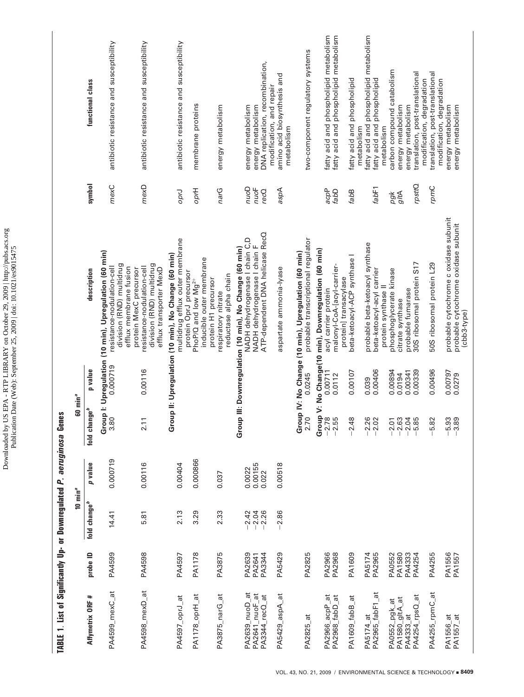| strings of the signal of the string of the control of the string of the string of the string of the string of the string of the string of the string of the string of the string of the string of the string of the string of |                            |                            |                            |                          |                    |                                                                                                                                                             |                         |                                                                                     |
|-------------------------------------------------------------------------------------------------------------------------------------------------------------------------------------------------------------------------------|----------------------------|----------------------------|----------------------------|--------------------------|--------------------|-------------------------------------------------------------------------------------------------------------------------------------------------------------|-------------------------|-------------------------------------------------------------------------------------|
|                                                                                                                                                                                                                               |                            | $10 \text{ min}^a$         |                            |                          | $60 \text{ min}^a$ |                                                                                                                                                             |                         |                                                                                     |
| Affymetrix ORF #                                                                                                                                                                                                              | probe ID                   | fold change <sup>b</sup>   | p value                    | fold change <sup>b</sup> | p value            | description                                                                                                                                                 | symbol                  | functional class                                                                    |
| PA4599_mexC_at                                                                                                                                                                                                                | PA4599                     | 14.41                      | 0.000719                   | 3.80                     | 0.000719           | Group I: Upregulation (10 min), Upregulation (60 min)<br>division (RND) multidrug<br>efflux membrane fusion<br>resistance-nodulation-cell                   | mexC                    | antibiotic resistance and susceptibility                                            |
| PA4598_mexD_at                                                                                                                                                                                                                | PA4598                     | 5.81                       | 0.00116                    | 2.11                     | 0.00116            | division (RND) multidrug<br>resistance-nodulation-cell<br>protein MexC precursor<br>efflux transporter MexD                                                 | mexD                    | antibiotic resistance and susceptibility                                            |
| PA4597_oprJ_at                                                                                                                                                                                                                | PA4597                     | 2.13                       | 0.00404                    |                          |                    | multidrug efflux outer membrane<br>Group II: Upregulation (10 min), No Change (60 min)                                                                      | OprJ                    | antibiotic resistance and susceptibility                                            |
| PA1178_oprH_at                                                                                                                                                                                                                | PA1178                     | 3.29                       | 0.000866                   |                          |                    | inducible outer membrane<br>protein OprJ precursor<br>PhoP/Q and low Mg <sup>2+</sup>                                                                       | Phdo                    | membrane proteins                                                                   |
| PA3875_narG_at                                                                                                                                                                                                                | PA3875                     | 2.33                       | 0.037                      |                          |                    | reductase alpha chain<br>protein H1 precursor<br>respiratory nitrate                                                                                        | narG                    | energy metabolism                                                                   |
| PA2639_nuoD_at<br>PA2641_nuoF_at<br>PA3344_recQ_at                                                                                                                                                                            | PA2639<br>PA3344<br>PA2641 | $-2.42$<br>$-2.04$<br>2.26 | 0.00155<br>0.0022<br>0.022 |                          |                    | ATP-dependent DNA helicase RecO<br>NADH dehydrogenase I chain C,D<br>NADH dehydrogenase I chain F<br>Group III: Downregulation (10 min), No Change (60 min) | aonu<br>$nu$ oF<br>recQ | DNA replication, recombination,<br>energy metabolism<br>energy metabolism           |
| PA5429_aspA_at                                                                                                                                                                                                                | PA5429                     | $-2.86$                    | 0.00518                    |                          |                    | aspartate ammonia-lyase                                                                                                                                     | aspA                    | amino acid biosynthesis and<br>modification, and repair<br>metabolism               |
| PA2825_at                                                                                                                                                                                                                     | PA2825                     |                            |                            | 2.70                     | 0.0245             | probable transcriptional regulator<br>Group IV: No Change (10 min), Upregulation (60 min)                                                                   |                         | two-component regulatory systems                                                    |
| PA2966_acpP_at<br>PA2968_fabD_at                                                                                                                                                                                              | PA2966<br>PA2968           |                            |                            | $-2.78$<br>$-2.55$       | 0.00711<br>0.0112  | Group V: No Change(10 min), Downregulation (60 min)<br>malonyl-CoA-[acyl-carrier-<br>acyl carrier protein                                                   | acpP<br>fabD            | fatty acid and phospholipid metabolism<br>fatty acid and phospholipid metabolism    |
| PA1609_fabB_at                                                                                                                                                                                                                | PA1609                     |                            |                            | $-2.48$                  | 0.00107            | beta-ketoacyl-ACP synthase I<br>protein] transacylase                                                                                                       | fabB                    | fatty acid and phospholipid                                                         |
| PA5174_at<br>PA2965_fabF1_at                                                                                                                                                                                                  | PA5174<br>PA2965           |                            |                            | $-2.26$<br>$-2.02$       | 0.00406<br>0.039   | probable beta-ketoacyl synthase<br>beta-ketoacyl-acyl carrier                                                                                               | fabF1                   | fatty acid and phospholipid metabolism<br>fatty acid and phospholipid<br>metabolism |
| PA1580_gltA_at<br>PA0552_pgk_at                                                                                                                                                                                               | PA0552<br>PA1580           |                            |                            | $-2.63$<br>$-2.01$       | 0.00894<br>0.0194  | phosphoglycerate kinase<br>protein synthase II<br>citrate synthase                                                                                          | gltA<br>pgk             | carbon compound catabolism<br>energy metabolism<br>metabolism                       |
| PA4254_rpsQ_at<br>PA4333_at                                                                                                                                                                                                   | PA4333<br>PA4254           |                            |                            | $-2.04$<br>$-5.85$       | 0.00339<br>0.00341 | 30S ribosomal protein S17<br>probable fumarase                                                                                                              | rpsttQ                  | translation, post-translational<br>energy metabolism                                |
| PA4255_rpmC_at                                                                                                                                                                                                                | PA4255                     |                            |                            | $-5.82$                  | 0.00496            | 50S ribosomal protein L29                                                                                                                                   | rpmC                    | translation, post-translational<br>modification, degradation                        |
| PA1556_at<br>PA1557_at                                                                                                                                                                                                        | PA1556<br>PA1557           |                            |                            | $-5.93$<br>$-3.89$       | 0.00797<br>0.0279  | probable cytochrome c oxidase subunit<br>probable cytochrome oxidase subunit<br>(cbb3-type)                                                                 |                         | modification, degradation<br>energy metabolism<br>energy metabolism                 |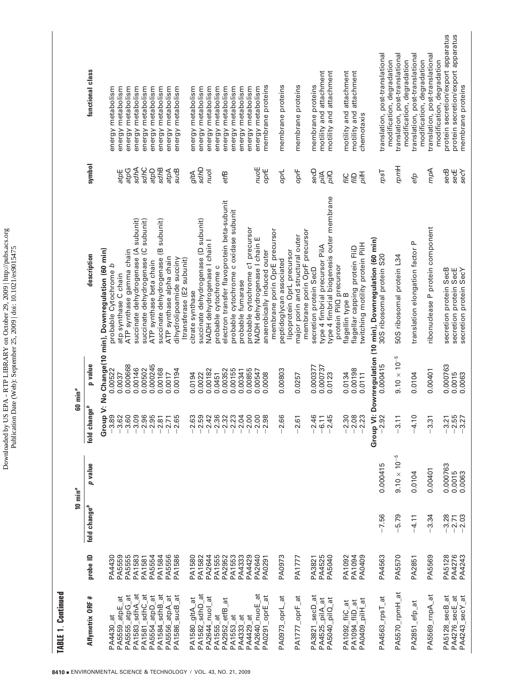Downloaded by US EPA - RTP LIBRARY on October 29, 2009 | http://pubs.acs.org<br>Publication Date (Web): September 25, 2009 | doi: 10.1021/es9015475 Downloaded by US EPA - RTP LIBRARY on October 29, 2009 | http://pubs.acs.org Publication Date (Web): September 25, 2009 | doi: 10.1021/es9015475

|                    |                     | functional class         | energy metabolism<br>energy metabolism                                                               | energy metabolism<br>energy metabolism                          | energy metabolism                   | energy metabolism       | energy metabolism                   | energy metabolism        | energy metabolism                                     | energy metabolism | energy metabolism                   | energy metabolism<br>energy metabolism                | energy metabolism                           | energy metabolism                     | energy metabolism | energy metabolism                | energy metabolism            | membrane proteins           | membrane proteins                                         |                            | membrane proteins                | membrane proteins                                       | motility and attachment        | motility and attachment                   | motility and attachment                    | motility and attachment          | chemotaxis                      |                                                        | translation, post-translational<br>modification, degradation | translation, post-translational | modification, degradation | translation, post-translational<br>modification, degradation | translation, post-translational<br>modification, degradation | protein secretion/export apparatus | protein secretion/export apparatus<br>membrane proteins |
|--------------------|---------------------|--------------------------|------------------------------------------------------------------------------------------------------|-----------------------------------------------------------------|-------------------------------------|-------------------------|-------------------------------------|--------------------------|-------------------------------------------------------|-------------------|-------------------------------------|-------------------------------------------------------|---------------------------------------------|---------------------------------------|-------------------|----------------------------------|------------------------------|-----------------------------|-----------------------------------------------------------|----------------------------|----------------------------------|---------------------------------------------------------|--------------------------------|-------------------------------------------|--------------------------------------------|----------------------------------|---------------------------------|--------------------------------------------------------|--------------------------------------------------------------|---------------------------------|---------------------------|--------------------------------------------------------------|--------------------------------------------------------------|------------------------------------|---------------------------------------------------------|
|                    |                     | symbol                   | atpE                                                                                                 | sdhA<br><b>Bote</b>                                             | sdhC                                | atpD                    | sdhB                                | Aqta                     | sucB                                                  | gltA              | Gyps                                | puol                                                  | etfB                                        |                                       |                   |                                  | nuoE                         | oprE                        | oprL                                                      |                            | oprF                             | secD                                                    | pilA                           | pilQ                                      | fiiC                                       | fiiD                             | <b>Hird</b>                     |                                                        | rpsT                                                         | <b>Hudu</b>                     |                           | efp                                                          | rnpA                                                         | secB                               | secE<br>secY                                            |
|                    |                     | description              | Group V: No Change(10 min), Downregulation (60 min)<br>probable Cytochrome b<br>atp synthase C chain | succinate dehydrogenase (A subunit)<br>ATP synthase gamma chain | succinate dehydrogenase (C subunit) | ATP synthase beta chain | succinate dehydrogenase (B subunit) | ATP synthase alpha chain | dihydrolipoamide succiny<br>Itransferase (E2 subunit) | citrate synthase  | succinate dehydrogenase (D subunit) | NADH dehydrogenase I chain I<br>probable cytochrome c | electron transfer flavoprotein beta-subunit | probable cytochrome c oxidase subunit | probable fumarase | probable cytochrome c1 precursor | NADH dehydrogenase I chain E | anaerobically induced outer | membrane porin OprE precursor<br>peptidoglycan associated | lipoprotein OprL precursor | major porin and structural outer | membrane porin OprF precursor<br>secretion protein SecD | type 4 fimbrial precursor PilA | type 4 fimbrial biogenesis outer membrane | protein PilQ precursor<br>flagellin type B | flagellar capping protein FliD   | twitching motility protein PilH | p VI: Downregulation (10 min), Downregulation (60 min) | 30S ribosomal protein S20                                    | 50S ribosomal protein L34       |                           | translation elongation factor P                              | ribonuclease P protein component                             | secretion protein SecB             | secretion protein SecE<br>secretion protein SecY        |
|                    | 60 min <sup>a</sup> | p value                  | 0.00522<br>0.0037                                                                                    | 0.000668<br>0.00146                                             | 0.00502                             | 0.000245                | 0.00168                             | 0.0017                   | 0.00194                                               | 0.0194            | 0.0022                              | 0.00182<br>0.0451                                     | 0.00352                                     | 0.00155                               | 0.00341           | 0.00855                          | 0.00547                      | 0.0008                      | 0.00803                                                   |                            | 0.0257                           | 0.000377                                                | 0.000737                       | 0.0123                                    | 0.0134                                     | 0.00198                          | 0.0111                          | 0.000415                                               |                                                              | $9.10 \times 10^{-5}$           |                           | 0.0104                                                       | 0.00401                                                      | 0.000763                           | 0.0015<br>0.0063                                        |
|                    |                     | change $^b$<br>fold      | $-3.89$<br>$-3.62$                                                                                   | $-3.60$<br>3.09                                                 | $-2.96$                             | $-2.95$                 | 2.81                                | $-2.71$                  | $-2.65$                                               | $-2.63$           | $-2.59$                             | $-2.42$<br>2.36                                       | $-2.32$                                     | $-2.23$                               | $-2.04$           | $-2.00$                          | $-2.00$                      | 2.98                        | $-2.66$                                                   |                            | $-2.61$                          | $-2.46$                                                 | $-6.11$                        | $-2.45$                                   | $-2.30$                                    | $-2.08$                          | $-2.23$                         | $-2.92$<br>Group                                       |                                                              | $-3.11$                         |                           | $-4.10$                                                      | 3.31                                                         | $-3.21$                            | $-2.55$<br>$-3.27$                                      |
|                    | 10 $min^a$          | p value                  |                                                                                                      |                                                                 |                                     |                         |                                     |                          |                                                       |                   |                                     |                                                       |                                             |                                       |                   |                                  |                              |                             |                                                           |                            |                                  |                                                         |                                |                                           |                                            |                                  |                                 | 0.000415                                               |                                                              | $9.10 \times 10^{-5}$           |                           | 0.0104                                                       | 0.00401                                                      | 0.000763                           | 0.0015<br>0.0063                                        |
|                    |                     | fold change <sup>b</sup> |                                                                                                      |                                                                 |                                     |                         |                                     |                          |                                                       |                   |                                     |                                                       |                                             |                                       |                   |                                  |                              |                             |                                                           |                            |                                  |                                                         |                                |                                           |                                            |                                  |                                 | $-7.56$                                                |                                                              | 5.79                            |                           | 4.11                                                         | 3.34                                                         | $-3.28$                            | $-2.03$<br>$-2.71$                                      |
|                    |                     | probe ID                 | PA5559<br>PA4430                                                                                     | PA5555<br>PA1583                                                | <b>PA1581</b>                       | PA5554                  | PA1584                              | PA5556                   | PA1586                                                | PA1580            | PA1582                              | PA2644<br><b>PA1555</b>                               | PA2952                                      | PA1553                                | PA4333            | PA4429                           | PA2640                       | PA0291                      | PA0973                                                    |                            | <b>PA1777</b>                    | PA3821                                                  | PA4525                         | PA5040                                    | PA1092                                     | PA1094                           | PA0409                          | PA4563                                                 |                                                              | PA5570                          |                           | PA2851                                                       | PA5569                                                       | PA5128                             | PA4276<br>PA4243                                        |
| TABLE 1. Continued |                     | Affymetrix ORF #         | $\ddot{a}$<br>PA5559_atpE<br>PA4430_at                                                               | PA1583_sdhA_at<br>PA5555_atpG_at                                | PA1581_sdhC_at                      | PA5554_atpD_at          | PA1584_sdhB_at                      | PA5556_atpA_at           | PA1586_sucB_at                                        | ã<br>PA1580_gltA  | PA1582_sdhD_at                      | PA2644_nuol_at<br>PA1555_at                           | ಕ<br>PA2952_etfB                            | PA1553_at                             | PA4333_at         | PA4429_at                        | ã<br>PA2640_nuoE             | PA0291_oprE_at              | PA0973_oprL_at                                            |                            | PA1777_oprF_at                   | PA3821_secD_at                                          | PA4525_pilA_at                 | PA5040_pilQ_at                            | PA1092_fliC_at                             | PA1094_fiiD_at<br>PA0409_pilH_at |                                 |                                                        | PA4563_rpsT_at                                               | PA5570_rpmH_at                  |                           | PA2851_efp_at                                                | PA5569_rnpA_at                                               | PA5128_secB_at                     | PA4276_secE_at<br>PA4243_secY_at                        |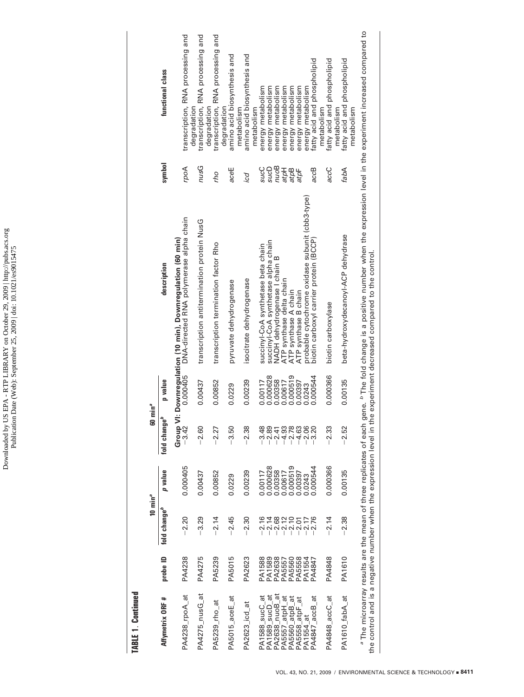# **TABLE 1. Continued TABLE 1**. **Continued**

|                                                                                                                                                   |                                                           | 10 min $^a$              |          | 60 min <sup>a</sup>   |          |                                                                                                                                                                               |              |                                                  |
|---------------------------------------------------------------------------------------------------------------------------------------------------|-----------------------------------------------------------|--------------------------|----------|-----------------------|----------|-------------------------------------------------------------------------------------------------------------------------------------------------------------------------------|--------------|--------------------------------------------------|
| Affymetrix ORF #                                                                                                                                  | probe ID                                                  | fold change <sup>b</sup> | p value  | م<br>ما<br>fold chang | p value  | description                                                                                                                                                                   | symbol       | functional class                                 |
| PA4238_rpoA_at                                                                                                                                    | PA4238                                                    | $-2.20$                  | 0.000405 | $-3.42$<br>Group      | 0.000405 | DNA-directed RNA polymerase alpha chain<br>VI: Downregulation (10 min), Downregulation (60 min)                                                                               | rpoA         | transcription, RNA processing and                |
| PA4275_nusG_at                                                                                                                                    | PA4275                                                    | $-3.29$                  | 0.00437  | $-2.60$               | 0.00437  | transcription antitermination protein NusG                                                                                                                                    | Donu         | transcription, RNA processing and<br>degradation |
| PA5239_rho_at                                                                                                                                     | PA5239                                                    | $-2.14$                  | 0.00852  | $-2.27$               | 0.00852  | transcription termination factor Rho                                                                                                                                          | oų           | transcription, RNA processing and<br>degradation |
| PA5015_aceE_at                                                                                                                                    | PA5015                                                    | $-2.45$                  | 0.0229   | $-3.50$               | 0.0229   | pyruvate dehydrogenase                                                                                                                                                        | aceE         | amino acid biosynthesis and<br>degradation       |
| PA2623_icd_at                                                                                                                                     | PA2623                                                    | $-2.30$                  | 0.00239  | $-2.38$               | 0.00239  | isocitrate dehydrogenase                                                                                                                                                      | icd          | amino acid biosynthesis and<br>metabolism        |
| PA1588_sucC_at                                                                                                                                    | PA1588                                                    | $-2.16$                  | 0.00117  | $-3.48$               | 0.00117  | succinyl-CoA synthetase beta chain                                                                                                                                            | sucC         | energy metabolism<br>metabolism                  |
| PA1589_sucD_at                                                                                                                                    | PA1589<br>PA2638<br>PA5560<br>PA55584<br>PA1554<br>PA1554 | 188205<br>20220<br>2022  | 0.000628 | $-2.89$               | 0.000628 | succinyl-CoA synthetase alpha chain                                                                                                                                           | SucD         | energy metabolism                                |
| $\frac{1}{2}$<br>PA2638_nuoB_                                                                                                                     |                                                           |                          | 0.00358  | $-2.41$               | 0.00358  | NADH dehydrogenase I chain B                                                                                                                                                  | <b>Ronu</b>  | energy metabolism                                |
| PA5557_atpH_at<br>PA5560_atpB_at                                                                                                                  |                                                           |                          | 0.00617  | $-4.93$               | 0.00617  | ATP synthase delta chain                                                                                                                                                      | atpH         | energy metabolism                                |
|                                                                                                                                                   |                                                           |                          | 0.000519 | $-2.78$               | 0.000519 | ATP synthase A chain                                                                                                                                                          | atpB<br>atpF | energy metabolism                                |
| PA5558_atpF_at                                                                                                                                    |                                                           |                          | 0.00397  | $-4.63$               | 0.00397  | ATP synthase B chain                                                                                                                                                          |              | energy metabolism                                |
| PA1554_at                                                                                                                                         |                                                           | $-2.17$                  | 0.0243   | $-2.06$               | 0.0243   | probable cytochrome oxidase subunit (cbb3-type)                                                                                                                               |              | energy metabolism                                |
| PA4847_accB_at                                                                                                                                    | PA4847                                                    | 2.76                     | 0.000544 | $-3.20$               | 0.000544 | biotin carboxyl carrier protein (BCCP)                                                                                                                                        | accB         | fatty acid and phospholipid                      |
|                                                                                                                                                   |                                                           |                          |          |                       |          |                                                                                                                                                                               |              | metabolism                                       |
| PA4848_accC_at                                                                                                                                    | PA4848                                                    | $-2.14$                  | 0.000366 | $-2.33$               | 0.000366 | biotin carboxylase                                                                                                                                                            | accC         | fatty acid and phospholipid                      |
|                                                                                                                                                   |                                                           |                          |          |                       |          |                                                                                                                                                                               |              | metabolism                                       |
| PA1610_fabA_at                                                                                                                                    | PA1610                                                    | $-2.38$                  | 0.00135  | $-2.52$               | 0.00135  | beta-hydroxydecanoyl-ACP dehydrase                                                                                                                                            | fabA         | fatty acid and phospholipid<br>metabolism        |
| <sup>a</sup> The microarray results are the mean of three replicates of each<br>the control and is a negative number when the expression level in |                                                           |                          |          |                       |          | gene. <sup>6</sup> The fold change is a positive number when the expression level in the experiment increased compared to<br>the experiment decreased compared to the control |              |                                                  |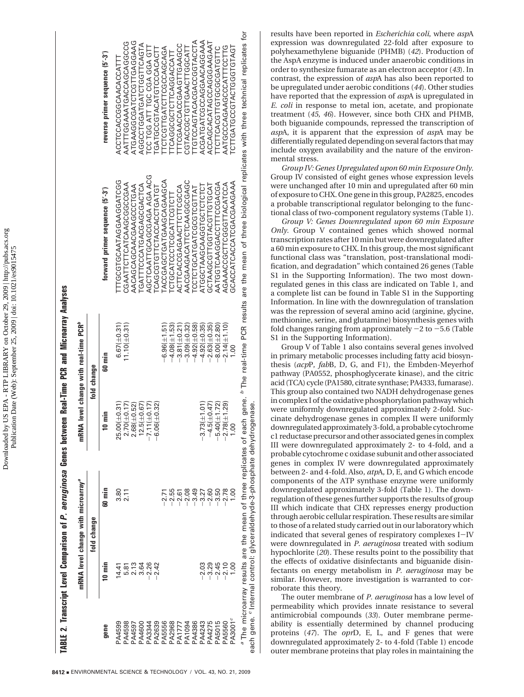Downloaded by US EPA - RTP LIBRARY on October 29, 2009 | http://pubs.acs.org Downloaded by US EPA - RTP LIBRARY on October 29, 2009 | http://pubs.acs.org<br>Publication Date (Web): September 25, 2009 | doi: 10.1021/es9015475 Publication Date (Web): September 25, 2009 | doi: 10.1021/es9015475

|                    |         | mRNA level change with microarray <sup>a</sup>                                                                                                                 | 똩                                                                                                        | NA level change with real-time PCR <sup>p</sup> |                                                                                                                                  |                                     |
|--------------------|---------|----------------------------------------------------------------------------------------------------------------------------------------------------------------|----------------------------------------------------------------------------------------------------------|-------------------------------------------------|----------------------------------------------------------------------------------------------------------------------------------|-------------------------------------|
|                    |         | fold change                                                                                                                                                    |                                                                                                          | fold change                                     |                                                                                                                                  |                                     |
| gene               | 10 min  | 60 min                                                                                                                                                         | 10 min                                                                                                   | 60 min                                          | forward primer sequence (5'-3')                                                                                                  | reverse primer sequence (5'-3')     |
| <b>A4599</b>       | 4.41    | 3.80                                                                                                                                                           |                                                                                                          | $6.67(\pm 0.31)$                                | ITTGCGTGCAATAGGAAGGATCGG                                                                                                         | ACCTCCACCGGCAACACCATTI              |
| <b>PA4598</b>      |         | 2.11                                                                                                                                                           |                                                                                                          | $11.10(\pm 0.31)$                               | AAGOOOGOOGAGITOITULTI                                                                                                            | GOOOGGAOGAATGAAGGAOGGAOGGAOGGAOGGAA |
| <b>1697Vc</b>      | 2.13    |                                                                                                                                                                | $\begin{array}{c} 25.00 (\pm 0.31) \\ 2.70 (\pm 0.17) \\ 2.68 (\pm 0.52) \\ 12.5 (\pm 0.67) \end{array}$ |                                                 | AACAGCAGCAACGAAGCTGAA                                                                                                            | JAAGGAGITUSIAGSGGAAGTA              |
| 004460             | 3.64    |                                                                                                                                                                |                                                                                                          |                                                 | GATTTCCCATGACCOORGCGACTCA                                                                                                        | AUSCULUULOHSATUSUUUUU               |
| PA3344             | $-2.26$ |                                                                                                                                                                | $-7.11(\pm 0.17)$                                                                                        |                                                 | AGA AGAGOGAGUTTAAJLOG                                                                                                            | <b>CC TGG ATT TGC CGA GGH</b>       |
| PA2639             | $-2.42$ |                                                                                                                                                                | $.06(\pm 0.32)$<br>.<br>ا                                                                                |                                                 | LOAGCGTGLACCACCTGATGT                                                                                                            | <b>LGATGCCGTACATGTCCCACACT</b>      |
| <b>95556</b>       |         |                                                                                                                                                                |                                                                                                          | $-6.96(\pm 1.51)$                               | ACCCOACACHOANGACACACA                                                                                                            | TCGLOGOCAGCAGCAG                    |
| $P_{A2968}$        |         | $-2.55$                                                                                                                                                        |                                                                                                          | $-4.08(\pm 1.53)$                               | CTGCATCCCCGATTCGTC                                                                                                               | TCAGGCGCTTCAGGACCAT                 |
| <b>PA1777</b>      |         | $-2.61$                                                                                                                                                        |                                                                                                          | $-3.81(\pm 0.21)$                               | ACTTCACGAGAACTTCCCCA                                                                                                             | TTCGAACCACOVACUTGAAGCC              |
| PA1094             |         | $-2.08$                                                                                                                                                        |                                                                                                          | $-3.09 (\pm 0.32)$                              | AACGAAGACTUCHOGCGAGG                                                                                                             | COGO HOLODO DO 2000 HOLODO A        |
| PA4386             |         | $-3.49$                                                                                                                                                        |                                                                                                          | $-4.92(\pm 0.58)$                               | <b>LCCTCCATGATGCTCGTTAT</b>                                                                                                      | <b>ALUUALUUUUUAUUKLUKUULUL</b>      |
| PA4243             | $-2.03$ | $-3.27$                                                                                                                                                        | $.73(\pm 1.01)$<br>ကို                                                                                   | $-4.92(\pm 0.35)$                               | ATGGCTGGTAGGASICTCTCT                                                                                                            | ACGATGGACCOODICACGACAA              |
| PA4275             | $-3.29$ | $-2.60$                                                                                                                                                        | $-4.5(\pm 0.47)$                                                                                         | $-2.63(\pm 0.35)$                               | GCTAAGGTTGGTTGJAAT                                                                                                               | ACCAGCATAGCAGGAAGAAT                |
| 2102A <sup>c</sup> | $-2.45$ | $-3.50$                                                                                                                                                        | $.40 (\pm 1.72)$<br>မှ                                                                                   | $-8.00(\pm 2.80)$                               | AATGGTCAAGGACCTTTCCACGA                                                                                                          | TCTTCACGTGTGCGCATGTT                |
| <b>PA5560</b>      | $-2.10$ | $-2.78$                                                                                                                                                        | $.78(\pm 1.29)$<br>$\tilde{C}$                                                                           | $-2.14(\pm 1.10)$                               | AGAAACGGUTTOOOOTTACA                                                                                                             |                                     |
| $3001^{\circ}$     | 0.00    | 00.1                                                                                                                                                           | $\mathsf{S}$                                                                                             | $\frac{00}{1}$                                  | GCACCATCACCATCGAGAAGAAA                                                                                                          | TCTTGGTGCCCCOORTGTACTT              |
|                    |         | each gene. <sup>c</sup> Internal control: glyceraldehyde-3-phosphate dehydrogenase.<br><sup>a</sup> The microarray results are the mean of three replicates of |                                                                                                          |                                                 | ach gene. <sup>b</sup> The real-time PCR results are the mean of three biological replicates with three technical replicates for |                                     |

**TABLE 2** .. Transcript Level Comparison of *P. aeruginosa* Genes between Real-Time PCR and Microarray Analyses results have been reported in *Escherichia* c*oli*, where *asp*A expression was downregulated 22-fold after exposure to polyhexamethylene biguanide (PHMB) (*42*). Production of the AspA enzyme is induced under anaerobic conditions in order to synthesize fumarate as an electron acceptor (*43*). In contrast, the expression of *asp*A has also been reported to be upregulated under aerobic conditions (*44*). Other studies have reported that the expression of *asp*A is upregulated in *E. coli* in response to metal ion, acetate, and propionate treatment (*45, 46*). However, since both CHX and PHMB, both biguanide compounds, repressed the transcription of *asp*A, it is apparent that the expression of *asp*A may be differentially regulated depending on several factors that may include oxygen availability and the nature of the environmental stress.

*Group IV: Genes Upregulated upon 60 min Exposure Only.* Group IV consisted of eight genes whose expression levels were unchanged after 10 min and upregulated after 60 min of exposure to CHX. One gene in this group, PA2825, encodes a probable transcriptional regulator belonging to the functional class of two-component regulatory systems (Table 1).

*Group V: Genes Downregulated upon 60 min Exposure Only.* Group V contained genes which showed normal transcription rates after 10 min but were downregulated after a 60 min exposure to CHX. In this group, the most significant functional class was "translation, post-translational modification, and degradation" which contained 26 genes (Table S1 in the Supporting Information). The two most downregulated genes in this class are indicated on Table 1, and a complete list can be found in Table S1 in the Supporting Information. In line with the downregulation of translation was the repression of several amino acid (arginine, glycine, methionine, serine, and glutamine) biosynthesis genes with fold changes ranging from approximately  $-2$  to  $-5.6$  (Table S1 in the Supporting Information).

Group V of Table 1 also contains several genes involved in primary metabolic processes including fatty acid biosynthesis (*acp*P, *fab*B, D, G, and F1), the Embden-Meyerhof pathway (PA0552, phosphoglycerate kinase), and the citric acid (TCA) cycle (PA1580, citrate synthase; PA4333, fumarase). This group also contained two NADH dehydrogenase genes in complex I of the oxidative phosphorylation pathway which were uniformly downregulated approximately 2-fold. Succinate dehydrogenase genes in complex II were uniformly downregulated approximately 3-fold, a probable cytochrome c1 reductase precursor and other associated genes in complex III were downregulated approximately 2- to 4-fold, and a probable cytochrome c oxidase subunit and other associated genes in complex IV were downregulated approximately between 2- and 4-fold. Also, *atp*A, D, E, and G which encode components of the ATP synthase enzyme were uniformly downregulated approximately 3-fold (Table 1). The downregulation of these genes further supports the results of group III which indicate that CHX represses energy production through aerobic cellular respiration. These results are similar to those of a related study carried out in our laboratory which indicated that several genes of respiratory complexes I-IV were downregulated in *P. aeruginosa* treated with sodium hypochlorite (*20*). These results point to the possibility that the effects of oxidative disinfectants and biguanide disinfectants on energy metabolism in *P. aeruginosa* may be similar. However, more investigation is warranted to corroborate this theory.

The outer membrane of *P. aeruginosa* has a low level of permeability which provides innate resistance to several antimicrobial compounds (*33*). Outer membrane permeability is essentially determined by channel producing proteins (*47*). The *opr*D, E, L, and F genes that were downregulated approximately 2- to 4-fold (Table 1) encode outer membrane proteins that play roles in maintaining the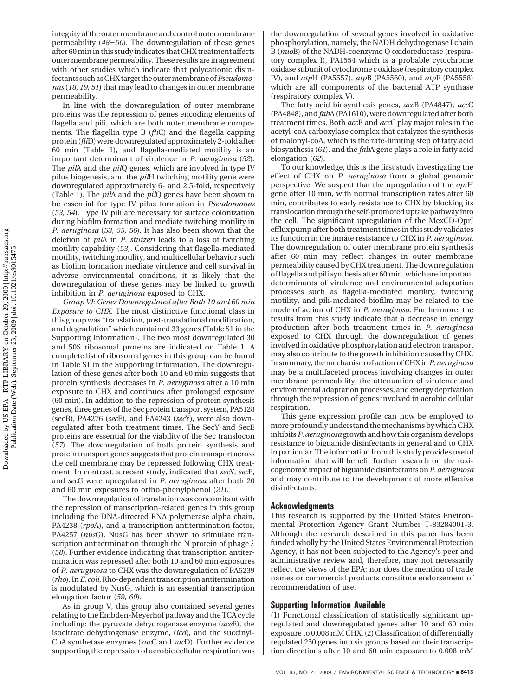integrity of the outer membrane and control outer membrane permeability (*48*-*50*). The downregulation of these genes after 60 min in this study indicates that CHX treatment affects outer membrane permeability. These results are in agreement with other studies which indicate that polycationic disinfectants such as CHX target the outer membrane of*Pseudomonas* (*18, 19, 51*) that may lead to changes in outer membrane permeability.

In line with the downregulation of outer membrane proteins was the repression of genes encoding elements of flagella and pili, which are both outer membrane components. The flagellin type B (*fli*C) and the flagella capping protein (*fli*D) were downregulated approximately 2-fold after 60 min (Table 1), and flagella-mediated motility is an important determinant of virulence in *P. aeruginosa* (*52*). The *pil*A and the *pil*Q genes, which are involved in type IV pilus biogenesis, and the *pil*H twitching motility gene were downregulated approximately 6- and 2.5-fold, respectively (Table 1). The *pil*A and the *pil*Q genes have been shown to be essential for type IV pilus formation in *Pseudomonas* (*53, 54*). Type IV pili are necessary for surface colonization during biofilm formation and mediate twitching motility in *P. aeruginosa* (*53, 55, 56*). It has also been shown that the deletion of *pil*A in *P. stutzeri* leads to a loss of twitching motility capability (*53*). Considering that flagella-mediated motility, twitching motility, and multicellular behavior such as biofilm formation mediate virulence and cell survival in adverse environmental conditions, it is likely that the downregulation of these genes may be linked to growth inhibition in *P. aeruginosa* exposed to CHX.

*Group VI: Genes Downregulated after Both 10 and 60 min Exposure to CHX.* The most distinctive functional class in this group was "translation, post-translational modification, and degradation" which contained 33 genes (Table S1 in the Supporting Information). The two most downregulated 30 and 50S ribosomal proteins are indicated on Table 1. A complete list of ribosomal genes in this group can be found in Table S1 in the Supporting Information. The downregulation of these genes after both 10 and 60 min suggests that protein synthesis decreases in *P. aeruginosa* after a 10 min exposure to CHX and continues after prolonged exposure (60 min). In addition to the repression of protein synthesis genes, three genes of the Sec protein transport system, PA5128 (secB), PA4276 (*sec*E), and PA4243 (*sec*Y), were also downregulated after both treatment times. The SecY and SecE proteins are essential for the viability of the Sec translocon (*57*). The downregulation of both protein synthesis and protein transport genes suggests that protein transport across the cell membrane may be repressed following CHX treatment. In contrast, a recent study, indicated that *sec*Y, *sec*E, and *sec*G were upregulated in *P. aeruginosa* after both 20 and 60 min exposures to ortho-phenylphenol (*21*).

The downregulation of translation was concomitant with the repression of transcription-related genes in this group including the DNA-directed RNA polymerase alpha chain, PA4238 (*rpo*A), and a transcription antitermination factor, PA4257 (*nus*G). NusG has been shown to stimulate transcription antitermination through the N protein of phage *λ* (*58*). Further evidence indicating that transcription antitermination was repressed after both 10 and 60 min exposures of *P. aeruginosa* to CHX was the downregulation of PA5239 (*rho*). In*E. coli*, Rho-dependent transcription antitermination is modulated by NusG, which is an essential transcription elongation factor (*59, 60*).

As in group V, this group also contained several genes relating to the Embden-Meyerhof pathway and the TCA cycle including: the pyruvate dehydrogenase enzyme (*ace*E), the isocitrate dehydrogenase enzyme, (*icd*), and the succinyl-CoA synthetase enzymes (*suc*C and *suc*D). Further evidence supporting the repression of aerobic cellular respiration was the downregulation of several genes involved in oxidative phosphorylation, namely, the NADH dehydrogenase I chain B (*nuo*B) of the NADH-coenzyme Q oxidoreductase (respiratory complex I), PA1554 which is a probable cytochrome oxidase subunit of cytochrome c oxidase (respiratory complex IV), and *atp*H (PA5557), *atp*B (PA5560), and *atp*F (PA5558) which are all components of the bacterial ATP synthase (respiratory complex V).

The fatty acid biosynthesis genes, *acc*B (PA4847), *acc*C (PA4848), and *fab*A (PA1610), were downregulated after both treatment times. Both *acc*B and *acc*C play major roles in the acetyl-coA carboxylase complex that catalyzes the synthesis of malonyl-coA, which is the rate-limiting step of fatty acid biosynthesis (*61*), and the *fab*A gene plays a role in fatty acid elongation (*62*).

To our knowledge, this is the first study investigating the effect of CHX on *P. aeruginosa* from a global genomic perspective. We suspect that the upregulation of the *opr*H gene after 10 min, with normal transcription rates after 60 min, contributes to early resistance to CHX by blocking its translocation through the self-promoted uptake pathway into the cell. The significant upregulation of the MexCD-OprJ efflux pump after both treatment times in this study validates its function in the innate resistance to CHX in *P. aeruginosa*. The downregulation of outer membrane protein synthesis after 60 min may reflect changes in outer membrane permeability caused by CHX treatment. The downregulation of flagella and pili synthesis after 60 min, which are important determinants of virulence and environmental adaptation processes such as flagella-mediated motility, twitching motility, and pili-mediated biofilm may be related to the mode of action of CHX in *P. aeruginosa*. Furthermore, the results from this study indicate that a decrease in energy production after both treatment times in *P. aeruginosa* exposed to CHX through the downregulation of genes involved in oxidative phosphorylation and electron transport may also contribute to the growth inhibition caused by CHX. In summary, the mechanism of action of CHX in*P. aeruginosa* may be a multifaceted process involving changes in outer membrane permeability, the attenuation of virulence and environmental adaptation processes, and energy deprivation through the repression of genes involved in aerobic cellular respiration.

This gene expression profile can now be employed to more profoundly understand the mechanisms by which CHX inhibits*P. aeruginosa* growth and how this organism develops resistance to biguanide disinfectants in general and to CHX in particular. The information from this study provides useful information that will benefit further research on the toxicogenomic impact of biguanide disinfectants on*P. aeruginosa* and may contribute to the development of more effective disinfectants.

### **Acknowledgments**

This research is supported by the United States Environmental Protection Agency Grant Number T-83284001-3. Although the research described in this paper has been funded wholly by the United States Environmental Protection Agency, it has not been subjected to the Agency's peer and administrative review and, therefore, may not necessarily reflect the views of the EPA; nor does the mention of trade names or commercial products constitute endorsement of recommendation of use.

#### **Supporting Information Available**

(1) Functional classification of statistically significant upregulated and downregulated genes after 10 and 60 min exposure to 0.008 mM CHX. (2) Classification of differentially regulated 250 genes into six groups based on their transcription directions after 10 and 60 min exposure to 0.008 mM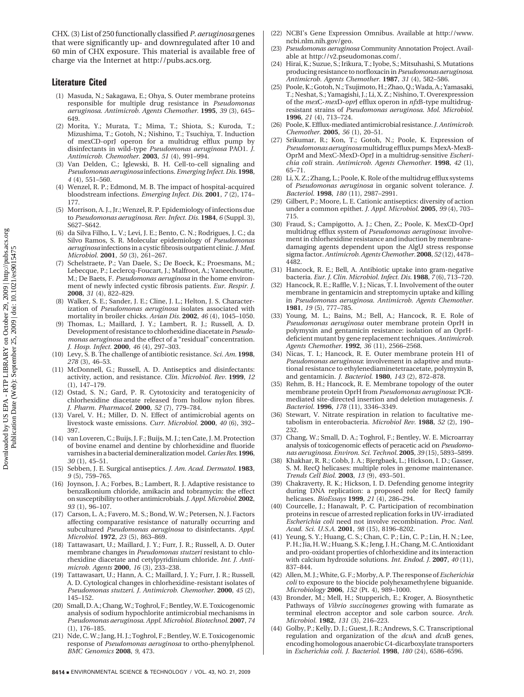CHX. (3) List of 250 functionally classified*P. aeruginosa* genes that were significantly up- and downregulated after 10 and 60 min of CHX exposure. This material is available free of charge via the Internet at http://pubs.acs.org.

# **Literature Cited**

- (1) Masuda, N.; Sakagawa, E.; Ohya, S. Outer membrane proteins responsible for multiple drug resistance in *Pseudomonas aeruginosa*. *Antimicrob. Agents Chemother.* **1995**, *39* (3), 645– 649.
- (2) Morita, Y.; Murata, T.; Mima, T.; Shiota, S.; Kuroda, T.; Mizushima, T.; Gotoh, N.; Nishino, T.; Tsuchiya, T. Induction of mexCD-oprJ operon for a multidrug efflux pump by disinfectants in wild-type *Pseudomonas aeruginosa* PAO1. *J. Antimicrob. Chemother.* **2003**, *51* (4), 991–994.
- (3) Van Delden, C.; Iglewski, B. H. Cell-to-cell signaling and *Pseudomonas aeruginosa* infections. *Emerging Infect. Dis.* **1998**, *4* (4), 551–560.
- (4) Wenzel, R. P.; Edmond, M. B. The impact of hospital-acquired bloodstream infections. *Emerging Infect. Dis.* **2001**, *7* (2), 174– 177.
- (5) Morrison, A. J., Jr.; Wenzel, R. P. Epidemiology of infections due to *Pseudomonas aeruginosa*. *Rev. Infect. Dis.* **1984**, *6* (Suppl. 3), S627–S642.
- (6) da Silva Filho, L. V.; Levi, J. E.; Bento, C. N.; Rodrigues, J. C.; da Silvo Ramos, S. R. Molecular epidemiology of *Pseudomonas aeruginosa* infections in a cystic fibrosis outpatient clinic.*J.Med. Microbiol.* **2001**, *50* (3), 261–267.
- (7) Schelstraete, P.; Van Daele, S.; De Boeck, K.; Proesmans, M.; Lebecque, P.; Leclercq-Foucart, J.; Malfroot, A.; Vaneechoutte, M.; De Baets, F. *Pseudomonas aeruginosa* in the home environment of newly infected cystic fibrosis patients. *Eur. Respir. J.* **2008**, *31* (4), 822–829.
- Walker, S. E.; Sander, J. E.; Cline, J. L.; Helton, J. S. Characterization of *Pseudomonas aeruginosa* isolates associated with mortality in broiler chicks. *Avian Dis.* **2002**, *46* (4), 1045–1050.
- (9) Thomas, L.; Maillard, J. Y.; Lambert, R. J.; Russell, A. D. Development of resistance to chlorhexidine diacetate in*Pseudomonas aeruginosa* and the effect of a "residual" concentration. *J. Hosp. Infect.* **2000**, *46* (4), 297–303.
- (10) Levy, S. B. The challenge of antibiotic resistance. *Sci. Am.* **1998**, *278* (3), 46–53.
- (11) McDonnell, G.; Russell, A. D. Antiseptics and disinfectants: activity, action, and resistance. *Clin. Microbiol. Rev.* **1999**, *12* (1), 147–179.
- (12) Ostad, S. N.; Gard, P. R. Cytotoxicity and teratogenicity of chlorhexidine diacetate released from hollow nylon fibres. *J. Pharm. Pharmacol.* **2000**, *52* (7), 779–784.
- (13) Varel, V. H.; Miller, D. N. Effect of antimicrobial agents on livestock waste emissions. *Curr. Microbiol.* **2000**, *40* (6), 392– 397.
- (14) van Loveren, C.; Buijs, J. F.; Buijs, M. J.; ten Cate, J. M. Protection of bovine enamel and dentine by chlorhexidine and fluoride varnishes in a bacterial demineralization model.*Caries Res.***1996**, *30* (1), 45–51.
- (15) Sebben, J. E. Surgical antiseptics. *J. Am. Acad. Dermatol.* **1983**, *9* (5), 759–765.
- (16) Joynson, J. A.; Forbes, B.; Lambert, R. J. Adaptive resistance to benzalkonium chloride, amikacin and tobramycin: the effect on susceptibility to other antimicrobials.*J. Appl.Microbiol.* **2002**, *93* (1), 96–107.
- (17) Carson, L. A.; Favero, M. S.; Bond, W. W.; Petersen, N. J. Factors affecting comparative resistance of naturally occurring and subcultured *Pseudomonas aeruginosa* to disinfectants. *Appl. Microbiol.* **1972**, *23* (5), 863–869.
- (18) Tattawasart, U.; Maillard, J. Y.; Furr, J. R.; Russell, A. D. Outer membrane changes in *Pseudomonas stutzeri* resistant to chlorhexidine diacetate and cetylpyridinium chloride. *Int. J. Antimicrob. Agents* **2000**, *16* (3), 233–238.
- (19) Tattawasart, U.; Hann, A. C.; Maillard, J. Y.; Furr, J. R.; Russell, A. D. Cytological changes in chlorhexidine-resistant isolates of *Pseudomonas stutzeri*. *J. Antimicrob. Chemother.* **2000**, *45* (2), 145–152.
- (20) Small, D. A.; Chang, W.; Toghrol, F.; Bentley, W. E. Toxicogenomic analysis of sodium hypochlorite antimicrobial mechanisms in *Pseudomonas aeruginosa*. *Appl. Microbiol. Biotechnol.* **2007**, *74* (1), 176–185.
- (21) Nde, C. W.; Jang, H. J.; Toghrol, F.; Bentley, W. E. Toxicogenomic response of *Pseudomonas aeruginosa* to ortho-phenylphenol. *BMC Genomics* **2008**, *9*, 473.
- (22) NCBI's Gene Expression Omnibus. Available at http://www. ncbi.nlm.nih.gov/geo.
- (23) *Pseudomonas aeruginosa* Community Annotation Project. Available at http://v2.pseudomonas.com/.
- (24) Hirai, K.; Suzue, S.; Irikura, T.; Iyobe, S.; Mitsuhashi, S. Mutations producing resistance to norfloxacin in*Pseudomonas aeruginosa*. *Antimicrob. Agents Chemother.* **1987**, *31* (4), 582–586.
- (25) Poole, K.; Gotoh, N.; Tsujimoto, H.; Zhao, Q.; Wada, A.; Yamasaki, T.; Neshat, S.; Yamagishi, J.; Li, X. Z.; Nishino, T. Overexpression of the *mex*C-*mex*D-*opr*J efflux operon in *nfx*B-type multidrugresistant strains of *Pseudomonas aeruginosa*. *Mol. Microbiol.* **1996**, *21* (4), 713–724.
- (26) Poole, K. Efflux-mediated antimicrobial resistance.*J. Antimicrob. Chemother.* **2005**, *56* (1), 20–51.
- (27) Srikumar, R.; Kon, T.; Gotoh, N.; Poole, K. Expression of *Pseudomonas aeruginosa* multidrug efflux pumps MexA-MexB-OprM and MexC-MexD-OprJ in a multidrug-sensitive *Escherichia coli* strain. *Antimicrob. Agents Chemother.* **1998**, *42* (1), 65–71.
- (28) Li, X. Z.; Zhang, L.; Poole, K. Role of the multidrug efflux systems of *Pseudomonas aeruginosa* in organic solvent tolerance. *J. Bacteriol.* **1998**, *180* (11), 2987–2991.
- (29) Gilbert, P.; Moore, L. E. Cationic antiseptics: diversity of action under a common epithet. *J. Appl. Microbiol.* **2005**, *99* (4), 703– 715.
- (30) Fraud, S.; Campigotto, A. J.; Chen, Z.; Poole, K. MexCD-OprJ multidrug efflux system of *Pseudomonas aeruginosa*: involvement in chlorhexidine resistance and induction by membranedamaging agents dependent upon the AlgU stress response sigma factor.*Antimicrob. Agents Chemother.* **2008**, *52* (12), 4478– 4482.
- (31) Hancock, R. E.; Bell, A. Antibiotic uptake into gram-negative bacteria. *Eur. J. Clin. Microbiol. Infect. Dis.* **1988**, *7* (6), 713–720.
- Hancock, R. E.; Raffle, V. J.; Nicas, T. I. Involvement of the outer membrane in gentamicin and streptomycin uptake and killing in *Pseudomonas aeruginosa*. *Antimicrob. Agents Chemother.* **1981**, *19* (5), 777–785.
- (33) Young, M. L.; Bains, M.; Bell, A.; Hancock, R. E. Role of *Pseudomonas aeruginosa* outer membrane protein OprH in polymyxin and gentamicin resistance: isolation of an OprHdeficient mutant by gene replacement techniques. *Antimicrob. Agents Chemother.* **1992**, *36* (11), 2566–2568.
- (34) Nicas, T. I.; Hancock, R. E. Outer membrane protein H1 of *Pseudomonas aeruginosa*: involvement in adaptive and mutational resistance to ethylenediaminetetraacetate, polymyxin B, and gentamicin. *J. Bacteriol.* **1980**, *143* (2), 872–878.
- (35) Rehm, B. H.; Hancock, R. E. Membrane topology of the outer membrane protein OprH from *Pseudomonas aeruginosa*: PCRmediated site-directed insertion and deletion mutagenesis. *J. Bacteriol.* **1996**, *178* (11), 3346–3349.
- (36) Stewart, V. Nitrate respiration in relation to facultative metabolism in enterobacteria. *Microbiol Rev.* **1988**, *52* (2), 190– 232.
- (37) Chang, W.; Small, D. A.; Toghrol, F.; Bentley, W. E. Microarray analysis of toxicogenomic effects of peracetic acid on *Pseudomonas aeruginosa*. *Environ. Sci. Technol.* **2005**, *39* (15), 5893–5899.
- (38) Khakhar, R. R.; Cobb, J. A.; Bjergbaek, L.; Hickson, I. D.; Gasser, S. M. RecQ helicases: multiple roles in genome maintenance. *Trends Cell Biol.* **2003**, *13* (9), 493–501.
- (39) Chakraverty, R. K.; Hickson, I. D. Defending genome integrity during DNA replication: a proposed role for RecQ family helicases. *BioEssays* **1999**, *21* (4), 286–294.
- (40) Courcelle, J.; Hanawalt, P. C. Participation of recombination proteins in rescue of arrested replication forks in UV-irradiated *Escherichia coli* need not involve recombination. *Proc. Natl. Acad. Sci. U.S.A.* **2001**, *98* (15), 8196–8202.
- (41) Yeung, S. Y.; Huang, C. S.; Chan, C. P.; Lin, C. P.; Lin, H. N.; Lee, P. H.; Jia, H. W.; Huang, S. K.; Jeng, J. H.; Chang, M. C. Antioxidant and pro-oxidant properties of chlorhexidine and its interaction with calcium hydroxide solutions. *Int. Endod. J.* **2007**, *40* (11), 837–844.
- (42) Allen, M. J.; White, G. F.; Morby, A. P. The response of *Escherichia coli* to exposure to the biocide polyhexamethylene biguanide. *Microbiology* **2006**, *152* (Pt. 4), 989–1000.
- (43) Bronder, M.; Mell, H.; Stupperich, E.; Kroger, A. Biosynthetic Pathways of *Vibrio succinogenes* growing with fumarate as terminal electron acceptor and sole carbon source. *Arch. Microbiol.* **1982**, *131* (3), 216–223.
- (44) Golby, P.; Kelly, D. J.; Guest, J. R.; Andrews, S. C. Transcriptional regulation and organization of the *dcu*A and *dcu*B genes, encoding homologous anaerobic C4-dicarboxylate transporters in *Escherichia coli*. *J. Bacteriol.* **1998**, *180* (24), 6586–6596.